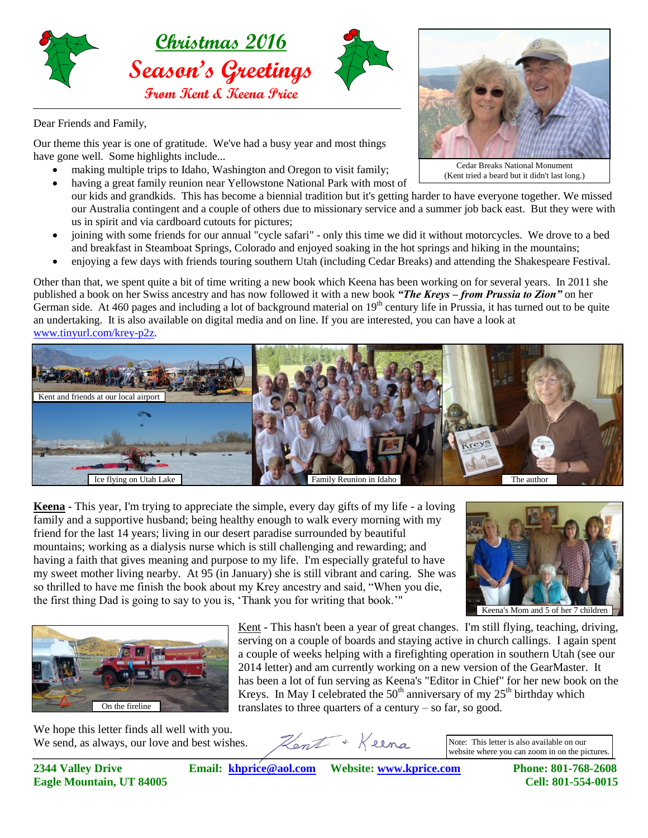

Dear Friends and Family,

Our theme this year is one of gratitude. We've had a busy year and most things have gone well. Some highlights include...

- making multiple trips to Idaho, Washington and Oregon to visit family;
- having a great family reunion near Yellowstone National Park with most of our kids and grandkids. This has become a biennial tradition but it's getting harder to have everyone together. We missed our Australia contingent and a couple of others due to missionary service and a summer job back east. But they were with us in spirit and via cardboard cutouts for pictures;
- joining with some friends for our annual "cycle safari" only this time we did it without motorcycles. We drove to a bed and breakfast in Steamboat Springs, Colorado and enjoyed soaking in the hot springs and hiking in the mountains;
- enjoying a few days with friends touring southern Utah (including Cedar Breaks) and attending the Shakespeare Festival.

Other than that, we spent quite a bit of time writing a new book which Keena has been working on for several years. In 2011 she published a book on her Swiss ancestry and has now followed it with a new book *"The Kreys – from Prussia to Zion"* on her German side. At 460 pages and including a lot of background material on  $19<sup>th</sup>$  century life in Prussia, it has turned out to be quite an undertaking. It is also available on digital media and on line. If you are interested, you can have a look at [www.tinyurl.com/krey-p2z.](www.tinyurl.com/krey-p2z)



**Keena** - This year, I'm trying to appreciate the simple, every day gifts of my life - a loving family and a supportive husband; being healthy enough to walk every morning with my friend for the last 14 years; living in our desert paradise surrounded by beautiful mountains; working as a dialysis nurse which is still challenging and rewarding; and having a faith that gives meaning and purpose to my life. I'm especially grateful to have my sweet mother living nearby. At 95 (in January) she is still vibrant and caring. She was so thrilled to have me finish the book about my Krey ancestry and said, "When you die, the first thing Dad is going to say to you is, 'Thank you for writing that book.'"



Keena's Mom and 5 of her 7 children



Kent - This hasn't been a year of great changes. I'm still flying, teaching, driving, serving on a couple of boards and staying active in church callings. I again spent a couple of weeks helping with a firefighting operation in southern Utah (see our 2014 letter) and am currently working on a new version of the GearMaster. It has been a lot of fun serving as Keena's "Editor in Chief" for her new book on the Kreys. In May I celebrated the  $50<sup>th</sup>$  anniversary of my  $25<sup>th</sup>$  birthday which translates to three quarters of a century – so far, so good.

We hope this letter finds all well with you. We send, as always, our love and best wishes.

Hent + Keena

Note: This letter is also available on our website where you can zoom in on the pictures.

**2344 Valley Drive Email: [khprice@aol.com](mailto:khprice@aol.com) Website: [www.kprice.com](http://www.kprice.com/) Phone: 801-768-2608 Eagle Mountain, UT 84005 Cell: 801-554-0015**